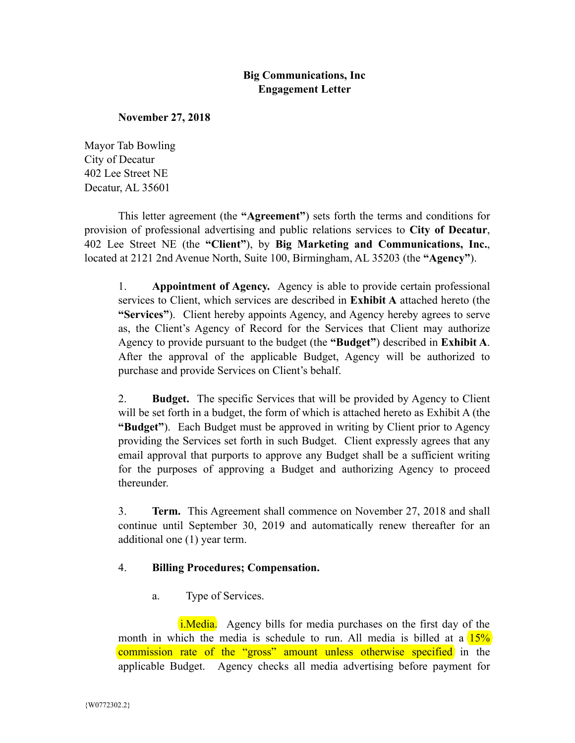# **Big Communications, Inc Engagement Letter**

#### **November 27, 2018**

Mayor Tab Bowling City of Decatur 402 Lee Street NE Decatur, AL 35601

This letter agreement (the **"Agreement"**) sets forth the terms and conditions for provision of professional advertising and public relations services to **City of Decatur**, 402 Lee Street NE (the **"Client"**), by **Big Marketing and Communications, Inc.**, located at 2121 2nd Avenue North, Suite 100, Birmingham, AL 35203 (the **"Agency"**).

1. **Appointment of Agency.** Agency is able to provide certain professional services to Client, which services are described in **Exhibit A** attached hereto (the **"Services"**). Client hereby appoints Agency, and Agency hereby agrees to serve as, the Client's Agency of Record for the Services that Client may authorize Agency to provide pursuant to the budget (the **"Budget"**) described in **Exhibit A**. After the approval of the applicable Budget, Agency will be authorized to purchase and provide Services on Client's behalf.

2. **Budget.** The specific Services that will be provided by Agency to Client will be set forth in a budget, the form of which is attached hereto as Exhibit A (the **"Budget"**). Each Budget must be approved in writing by Client prior to Agency providing the Services set forth in such Budget. Client expressly agrees that any email approval that purports to approve any Budget shall be a sufficient writing for the purposes of approving a Budget and authorizing Agency to proceed thereunder.

3. **Term.** This Agreement shall commence on November 27, 2018 and shall continue until September 30, 2019 and automatically renew thereafter for an additional one (1) year term.

### 4. **Billing Procedures; Compensation.**

a. Type of Services.

i.Media. Agency bills for media purchases on the first day of the month in which the media is schedule to run. All media is billed at a  $15\%$ commission rate of the "gross" amount unless otherwise specified in the applicable Budget. Agency checks all media advertising before payment for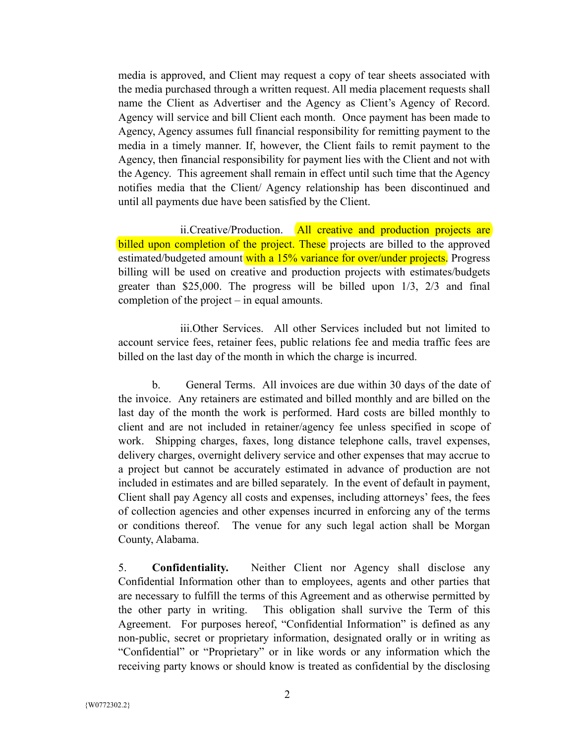media is approved, and Client may request a copy of tear sheets associated with the media purchased through a written request. All media placement requests shall name the Client as Advertiser and the Agency as Client's Agency of Record. Agency will service and bill Client each month. Once payment has been made to Agency, Agency assumes full financial responsibility for remitting payment to the media in a timely manner. If, however, the Client fails to remit payment to the Agency, then financial responsibility for payment lies with the Client and not with the Agency. This agreement shall remain in effect until such time that the Agency notifies media that the Client/ Agency relationship has been discontinued and until all payments due have been satisfied by the Client.

ii.Creative/Production. All creative and production projects are billed upon completion of the project. These projects are billed to the approved estimated/budgeted amount with a 15% variance for over/under projects. Progress billing will be used on creative and production projects with estimates/budgets greater than \$25,000. The progress will be billed upon 1/3, 2/3 and final completion of the project – in equal amounts.

iii.Other Services. All other Services included but not limited to account service fees, retainer fees, public relations fee and media traffic fees are billed on the last day of the month in which the charge is incurred.

b. General Terms. All invoices are due within 30 days of the date of the invoice. Any retainers are estimated and billed monthly and are billed on the last day of the month the work is performed. Hard costs are billed monthly to client and are not included in retainer/agency fee unless specified in scope of work. Shipping charges, faxes, long distance telephone calls, travel expenses, delivery charges, overnight delivery service and other expenses that may accrue to a project but cannot be accurately estimated in advance of production are not included in estimates and are billed separately. In the event of default in payment, Client shall pay Agency all costs and expenses, including attorneys' fees, the fees of collection agencies and other expenses incurred in enforcing any of the terms or conditions thereof. The venue for any such legal action shall be Morgan County, Alabama.

5. **Confidentiality.** Neither Client nor Agency shall disclose any Confidential Information other than to employees, agents and other parties that are necessary to fulfill the terms of this Agreement and as otherwise permitted by the other party in writing. This obligation shall survive the Term of this Agreement. For purposes hereof, "Confidential Information" is defined as any non-public, secret or proprietary information, designated orally or in writing as "Confidential" or "Proprietary" or in like words or any information which the receiving party knows or should know is treated as confidential by the disclosing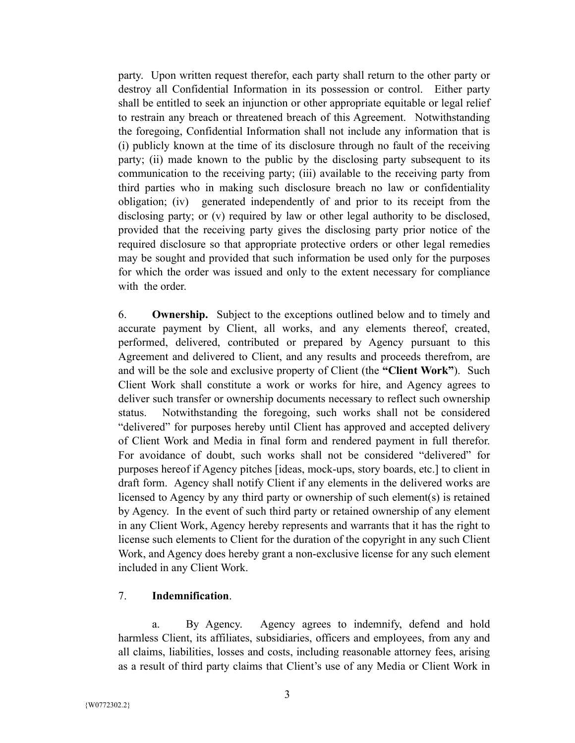party. Upon written request therefor, each party shall return to the other party or destroy all Confidential Information in its possession or control. Either party shall be entitled to seek an injunction or other appropriate equitable or legal relief to restrain any breach or threatened breach of this Agreement. Notwithstanding the foregoing, Confidential Information shall not include any information that is (i) publicly known at the time of its disclosure through no fault of the receiving party; (ii) made known to the public by the disclosing party subsequent to its communication to the receiving party; (iii) available to the receiving party from third parties who in making such disclosure breach no law or confidentiality obligation; (iv) generated independently of and prior to its receipt from the disclosing party; or (v) required by law or other legal authority to be disclosed, provided that the receiving party gives the disclosing party prior notice of the required disclosure so that appropriate protective orders or other legal remedies may be sought and provided that such information be used only for the purposes for which the order was issued and only to the extent necessary for compliance with the order.

6. **Ownership.** Subject to the exceptions outlined below and to timely and accurate payment by Client, all works, and any elements thereof, created, performed, delivered, contributed or prepared by Agency pursuant to this Agreement and delivered to Client, and any results and proceeds therefrom, are and will be the sole and exclusive property of Client (the **"Client Work"**). Such Client Work shall constitute a work or works for hire, and Agency agrees to deliver such transfer or ownership documents necessary to reflect such ownership status. Notwithstanding the foregoing, such works shall not be considered "delivered" for purposes hereby until Client has approved and accepted delivery of Client Work and Media in final form and rendered payment in full therefor. For avoidance of doubt, such works shall not be considered "delivered" for purposes hereof if Agency pitches [ideas, mock-ups, story boards, etc.] to client in draft form. Agency shall notify Client if any elements in the delivered works are licensed to Agency by any third party or ownership of such element(s) is retained by Agency. In the event of such third party or retained ownership of any element in any Client Work, Agency hereby represents and warrants that it has the right to license such elements to Client for the duration of the copyright in any such Client Work, and Agency does hereby grant a non-exclusive license for any such element included in any Client Work.

#### 7. **Indemnification**.

a. By Agency. Agency agrees to indemnify, defend and hold harmless Client, its affiliates, subsidiaries, officers and employees, from any and all claims, liabilities, losses and costs, including reasonable attorney fees, arising as a result of third party claims that Client's use of any Media or Client Work in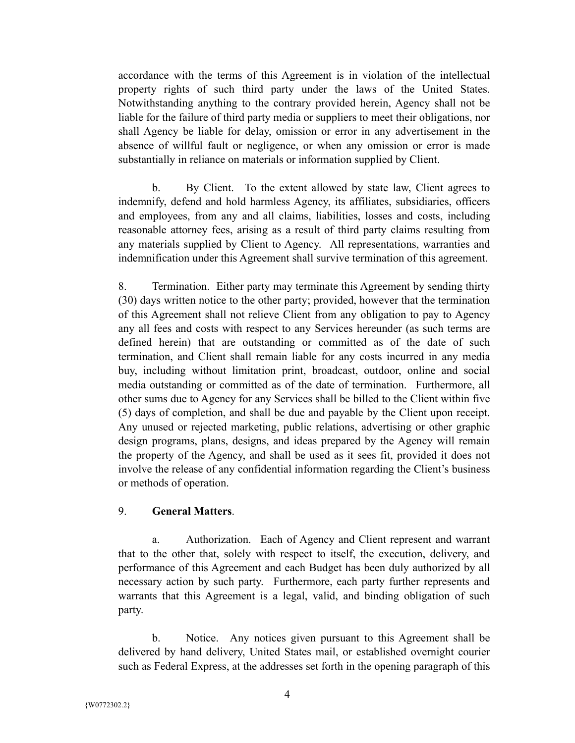accordance with the terms of this Agreement is in violation of the intellectual property rights of such third party under the laws of the United States. Notwithstanding anything to the contrary provided herein, Agency shall not be liable for the failure of third party media or suppliers to meet their obligations, nor shall Agency be liable for delay, omission or error in any advertisement in the absence of willful fault or negligence, or when any omission or error is made substantially in reliance on materials or information supplied by Client.

b. By Client. To the extent allowed by state law, Client agrees to indemnify, defend and hold harmless Agency, its affiliates, subsidiaries, officers and employees, from any and all claims, liabilities, losses and costs, including reasonable attorney fees, arising as a result of third party claims resulting from any materials supplied by Client to Agency. All representations, warranties and indemnification under this Agreement shall survive termination of this agreement.

8. Termination. Either party may terminate this Agreement by sending thirty (30) days written notice to the other party; provided, however that the termination of this Agreement shall not relieve Client from any obligation to pay to Agency any all fees and costs with respect to any Services hereunder (as such terms are defined herein) that are outstanding or committed as of the date of such termination, and Client shall remain liable for any costs incurred in any media buy, including without limitation print, broadcast, outdoor, online and social media outstanding or committed as of the date of termination. Furthermore, all other sums due to Agency for any Services shall be billed to the Client within five (5) days of completion, and shall be due and payable by the Client upon receipt. Any unused or rejected marketing, public relations, advertising or other graphic design programs, plans, designs, and ideas prepared by the Agency will remain the property of the Agency, and shall be used as it sees fit, provided it does not involve the release of any confidential information regarding the Client's business or methods of operation.

#### 9. **General Matters**.

a. Authorization. Each of Agency and Client represent and warrant that to the other that, solely with respect to itself, the execution, delivery, and performance of this Agreement and each Budget has been duly authorized by all necessary action by such party. Furthermore, each party further represents and warrants that this Agreement is a legal, valid, and binding obligation of such party.

b. Notice. Any notices given pursuant to this Agreement shall be delivered by hand delivery, United States mail, or established overnight courier such as Federal Express, at the addresses set forth in the opening paragraph of this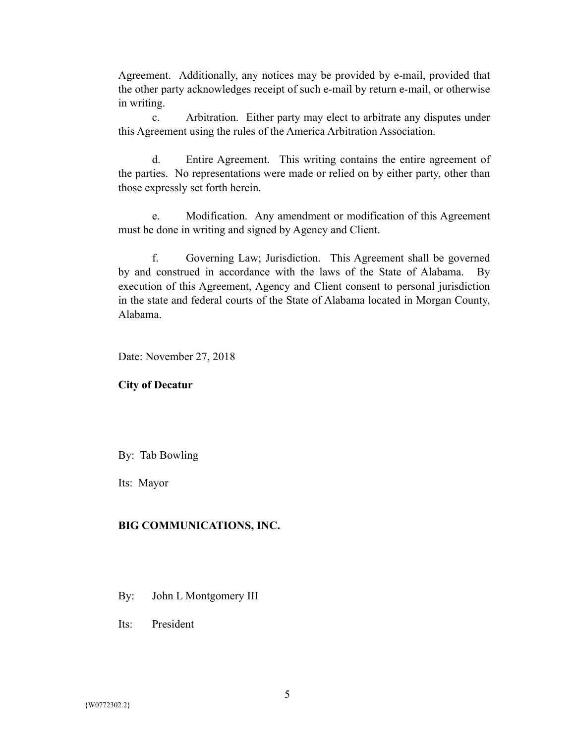Agreement. Additionally, any notices may be provided by e-mail, provided that the other party acknowledges receipt of such e-mail by return e-mail, or otherwise in writing.

c. Arbitration. Either party may elect to arbitrate any disputes under this Agreement using the rules of the America Arbitration Association.

d. Entire Agreement. This writing contains the entire agreement of the parties. No representations were made or relied on by either party, other than those expressly set forth herein.

e. Modification. Any amendment or modification of this Agreement must be done in writing and signed by Agency and Client.

f. Governing Law; Jurisdiction. This Agreement shall be governed by and construed in accordance with the laws of the State of Alabama. By execution of this Agreement, Agency and Client consent to personal jurisdiction in the state and federal courts of the State of Alabama located in Morgan County, Alabama.

Date: November 27, 2018

#### **City of Decatur**

By: Tab Bowling

Its: Mayor

#### **BIG COMMUNICATIONS, INC.**

- By: John L Montgomery III
- Its: President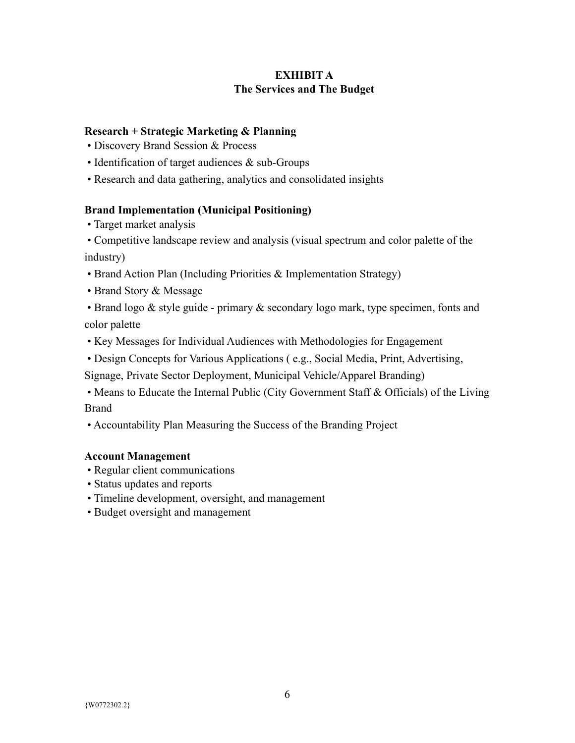# **EXHIBIT A The Services and The Budget**

### **Research + Strategic Marketing & Planning**

- Discovery Brand Session & Process
- Identification of target audiences & sub-Groups
- Research and data gathering, analytics and consolidated insights

# **Brand Implementation (Municipal Positioning)**

• Target market analysis

 • Competitive landscape review and analysis (visual spectrum and color palette of the industry)

- Brand Action Plan (Including Priorities & Implementation Strategy)
- Brand Story & Message

 • Brand logo & style guide - primary & secondary logo mark, type specimen, fonts and color palette

• Key Messages for Individual Audiences with Methodologies for Engagement

• Design Concepts for Various Applications ( e.g., Social Media, Print, Advertising,

Signage, Private Sector Deployment, Municipal Vehicle/Apparel Branding)

 • Means to Educate the Internal Public (City Government Staff & Officials) of the Living Brand

• Accountability Plan Measuring the Success of the Branding Project

### **Account Management**

- Regular client communications
- Status updates and reports
- Timeline development, oversight, and management
- Budget oversight and management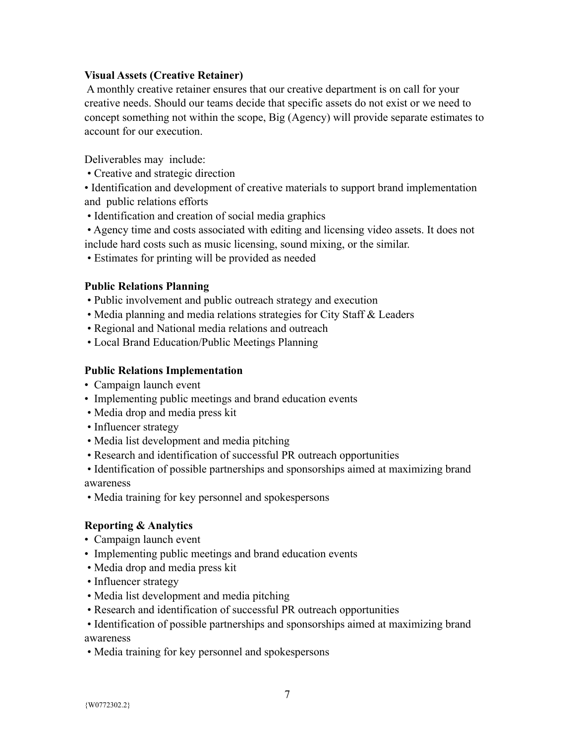### **Visual Assets (Creative Retainer)**

 A monthly creative retainer ensures that our creative department is on call for your creative needs. Should our teams decide that specific assets do not exist or we need to concept something not within the scope, Big (Agency) will provide separate estimates to account for our execution.

Deliverables may include:

• Creative and strategic direction

• Identification and development of creative materials to support brand implementation and public relations efforts

- Identification and creation of social media graphics
- Agency time and costs associated with editing and licensing video assets. It does not include hard costs such as music licensing, sound mixing, or the similar.
- Estimates for printing will be provided as needed

# **Public Relations Planning**

- Public involvement and public outreach strategy and execution
- Media planning and media relations strategies for City Staff & Leaders
- Regional and National media relations and outreach
- Local Brand Education/Public Meetings Planning

# **Public Relations Implementation**

- Campaign launch event
- Implementing public meetings and brand education events
- Media drop and media press kit
- Influencer strategy
- Media list development and media pitching
- Research and identification of successful PR outreach opportunities

 • Identification of possible partnerships and sponsorships aimed at maximizing brand awareness

• Media training for key personnel and spokespersons

# **Reporting & Analytics**

- Campaign launch event
- Implementing public meetings and brand education events
- Media drop and media press kit
- Influencer strategy
- Media list development and media pitching
- Research and identification of successful PR outreach opportunities

 • Identification of possible partnerships and sponsorships aimed at maximizing brand awareness

• Media training for key personnel and spokespersons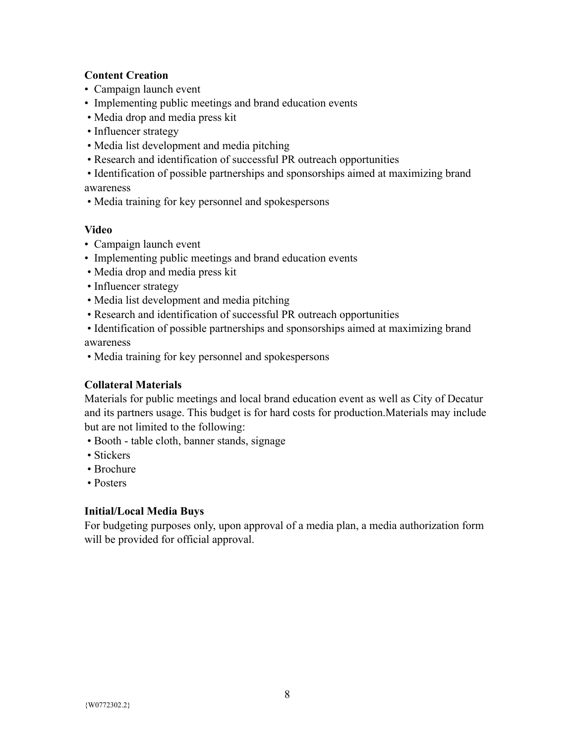# **Content Creation**

- Campaign launch event
- Implementing public meetings and brand education events
- Media drop and media press kit
- Influencer strategy
- Media list development and media pitching
- Research and identification of successful PR outreach opportunities
- Identification of possible partnerships and sponsorships aimed at maximizing brand awareness
- Media training for key personnel and spokespersons

### **Video**

- Campaign launch event
- Implementing public meetings and brand education events
- Media drop and media press kit
- Influencer strategy
- Media list development and media pitching
- Research and identification of successful PR outreach opportunities

 • Identification of possible partnerships and sponsorships aimed at maximizing brand awareness

• Media training for key personnel and spokespersons

### **Collateral Materials**

Materials for public meetings and local brand education event as well as City of Decatur and its partners usage. This budget is for hard costs for production.Materials may include but are not limited to the following:

- Booth table cloth, banner stands, signage
- Stickers
- Brochure
- Posters

### **Initial/Local Media Buys**

For budgeting purposes only, upon approval of a media plan, a media authorization form will be provided for official approval.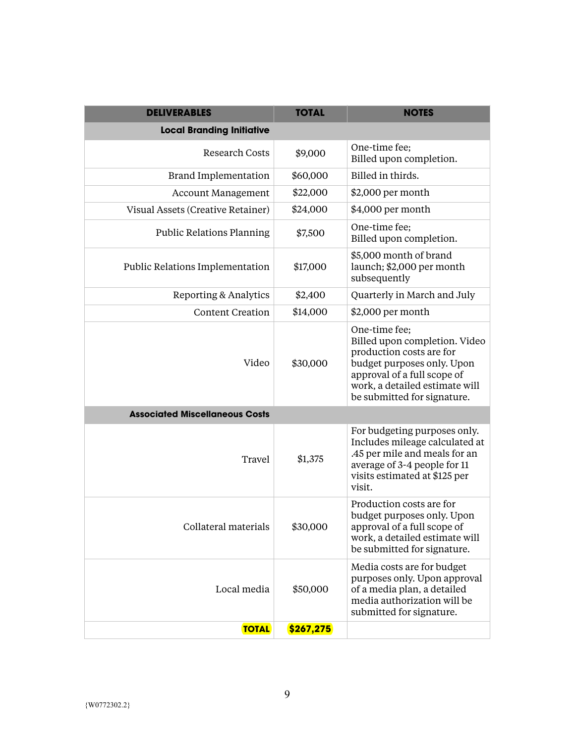| <b>DELIVERABLES</b>                   | <b>TOTAL</b>                                                                                                                                                                                                         | <b>NOTES</b>                                                                                                                                                               |  |  |  |  |  |  |  |
|---------------------------------------|----------------------------------------------------------------------------------------------------------------------------------------------------------------------------------------------------------------------|----------------------------------------------------------------------------------------------------------------------------------------------------------------------------|--|--|--|--|--|--|--|
| <b>Local Branding Initiative</b>      |                                                                                                                                                                                                                      |                                                                                                                                                                            |  |  |  |  |  |  |  |
| <b>Research Costs</b>                 | \$9,000                                                                                                                                                                                                              | One-time fee;<br>Billed upon completion.                                                                                                                                   |  |  |  |  |  |  |  |
| <b>Brand Implementation</b>           | \$60,000                                                                                                                                                                                                             | Billed in thirds.                                                                                                                                                          |  |  |  |  |  |  |  |
| <b>Account Management</b>             | \$22,000                                                                                                                                                                                                             | \$2,000 per month                                                                                                                                                          |  |  |  |  |  |  |  |
| Visual Assets (Creative Retainer)     | \$24,000                                                                                                                                                                                                             | \$4,000 per month                                                                                                                                                          |  |  |  |  |  |  |  |
| <b>Public Relations Planning</b>      | \$7,500                                                                                                                                                                                                              | One-time fee;<br>Billed upon completion.                                                                                                                                   |  |  |  |  |  |  |  |
| Public Relations Implementation       | \$17,000                                                                                                                                                                                                             | \$5,000 month of brand<br>launch; \$2,000 per month<br>subsequently                                                                                                        |  |  |  |  |  |  |  |
| Reporting & Analytics                 | \$2,400                                                                                                                                                                                                              | Quarterly in March and July                                                                                                                                                |  |  |  |  |  |  |  |
| <b>Content Creation</b>               | \$14,000                                                                                                                                                                                                             | \$2,000 per month                                                                                                                                                          |  |  |  |  |  |  |  |
| Video                                 | One-time fee;<br>Billed upon completion. Video<br>production costs are for<br>\$30,000<br>budget purposes only. Upon<br>approval of a full scope of<br>work, a detailed estimate will<br>be submitted for signature. |                                                                                                                                                                            |  |  |  |  |  |  |  |
| <b>Associated Miscellaneous Costs</b> |                                                                                                                                                                                                                      |                                                                                                                                                                            |  |  |  |  |  |  |  |
| Travel                                | \$1,375                                                                                                                                                                                                              | For budgeting purposes only.<br>Includes mileage calculated at<br>.45 per mile and meals for an<br>average of 3-4 people for 11<br>visits estimated at \$125 per<br>visit. |  |  |  |  |  |  |  |
| Collateral materials                  | \$30,000                                                                                                                                                                                                             | Production costs are for<br>budget purposes only. Upon<br>approval of a full scope of<br>work, a detailed estimate will<br>be submitted for signature.                     |  |  |  |  |  |  |  |
| Local media                           | \$50,000                                                                                                                                                                                                             | Media costs are for budget<br>purposes only. Upon approval<br>of a media plan, a detailed<br>media authorization will be<br>submitted for signature.                       |  |  |  |  |  |  |  |
| <b>TOTAL</b>                          | \$267,275                                                                                                                                                                                                            |                                                                                                                                                                            |  |  |  |  |  |  |  |